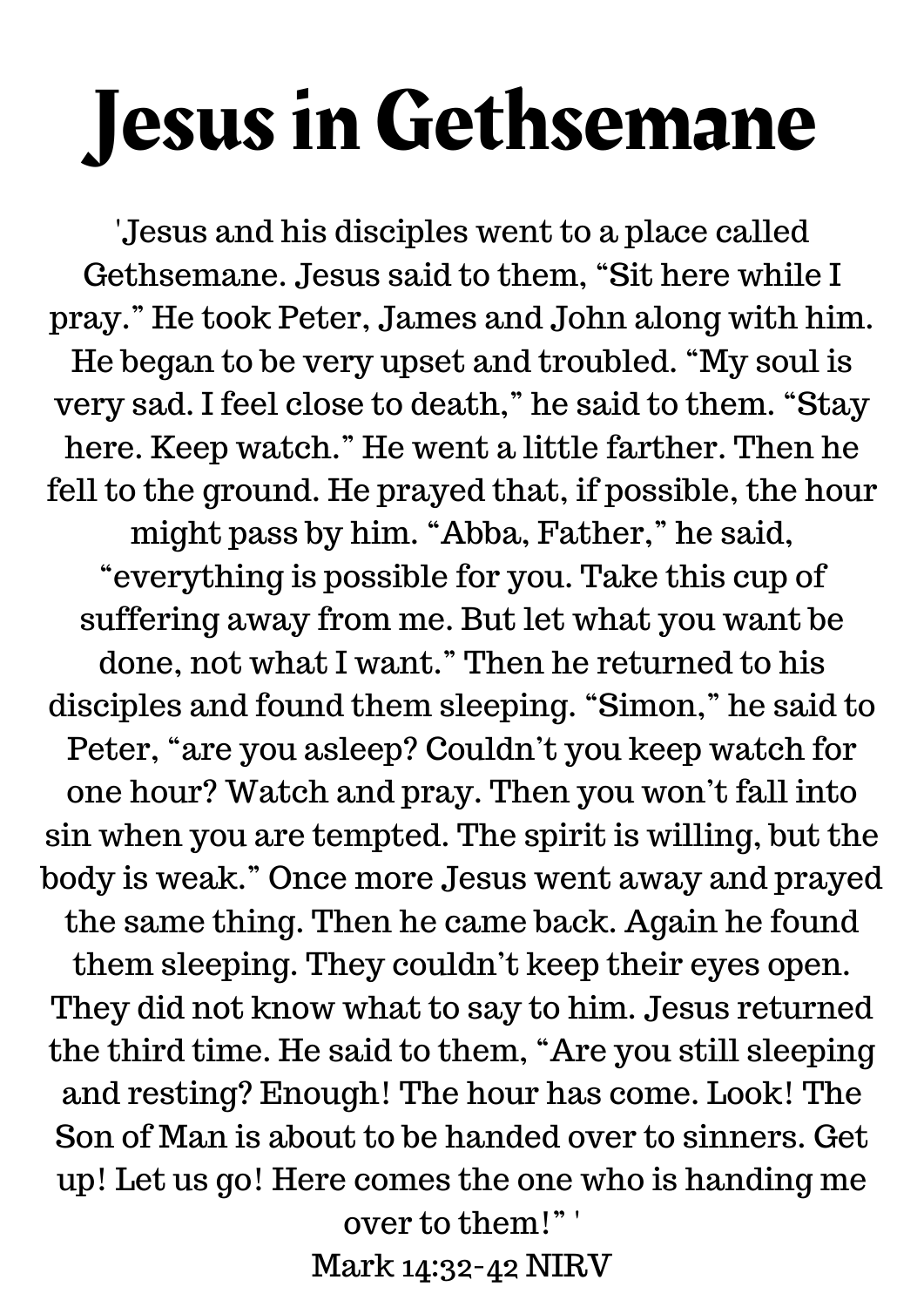## Jesus in Gethsemane

'Jesus and his disciples went to a place called Gethsemane. Jesus said to them, "Sit here while I pray." He took Peter, James and John along with him. He began to be very upset and troubled. "My soul is very sad. I feel close to death, " he said to them. "Stay here. Keep watch." He went a little farther. Then he fell to the ground. He prayed that, if possible, the hour might pass by him. "Abba, Father, " he said, "everything is possible for you. Take this cup of suffering away from me. But let what you want be done, not what I want." Then he returned to his disciples and found them sleeping. "Simon, " he said to Peter, "are you asleep? Couldn't you keep watch for one hour? Watch and pray. Then you won't fall into sin when you are tempted. The spirit is willing, but the body is weak." Once more Jesus went away and prayed the same thing. Then he came back. Again he found them sleeping. They couldn't keep their eyes open. They did not know what to say to him. Jesus returned the third time. He said to them, "Are you still sleeping and resting? Enough! The hour has come. Look! The Son of Man is about to be handed over to sinners. Get up! Let us go! Here comes the one who is handing me over to them!" '

Mark 14:32-42 NIRV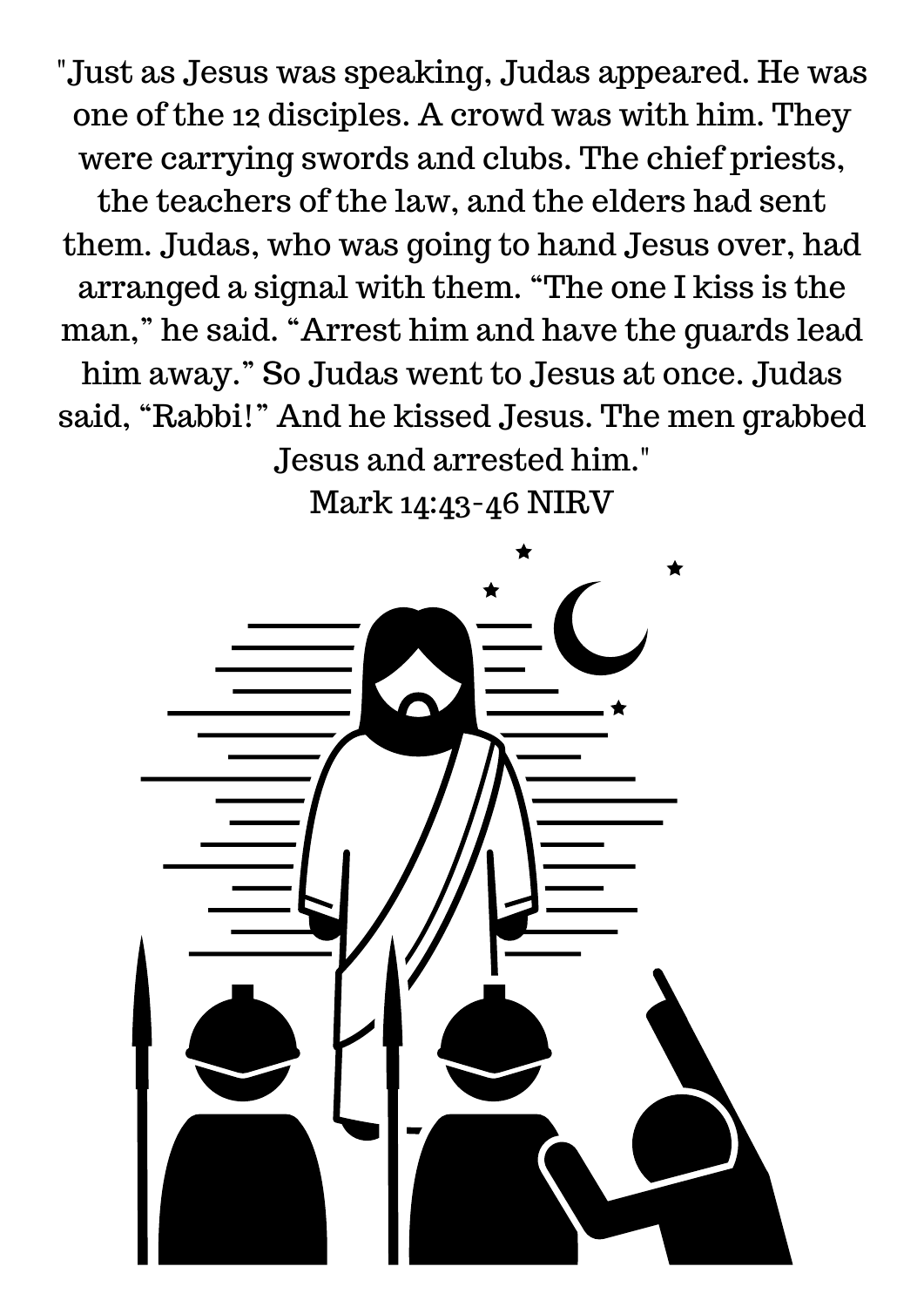"Just as Jesus was speaking, Judas appeared. He was one of the 12 disciples. A crowd was with him. They were carrying swords and clubs. The chief priests, the teachers of the law, and the elders had sent them. Judas, who was going to hand Jesus over, had arranged a signal with them. "The one I kiss is the man, " he said. "Arrest him and have the guards lead him away." So Judas went to Jesus at once. Judas said, "Rabbi!" And he kissed Jesus. The men grabbed Jesus and arrested him."

Mark 14:43-46 NIRV